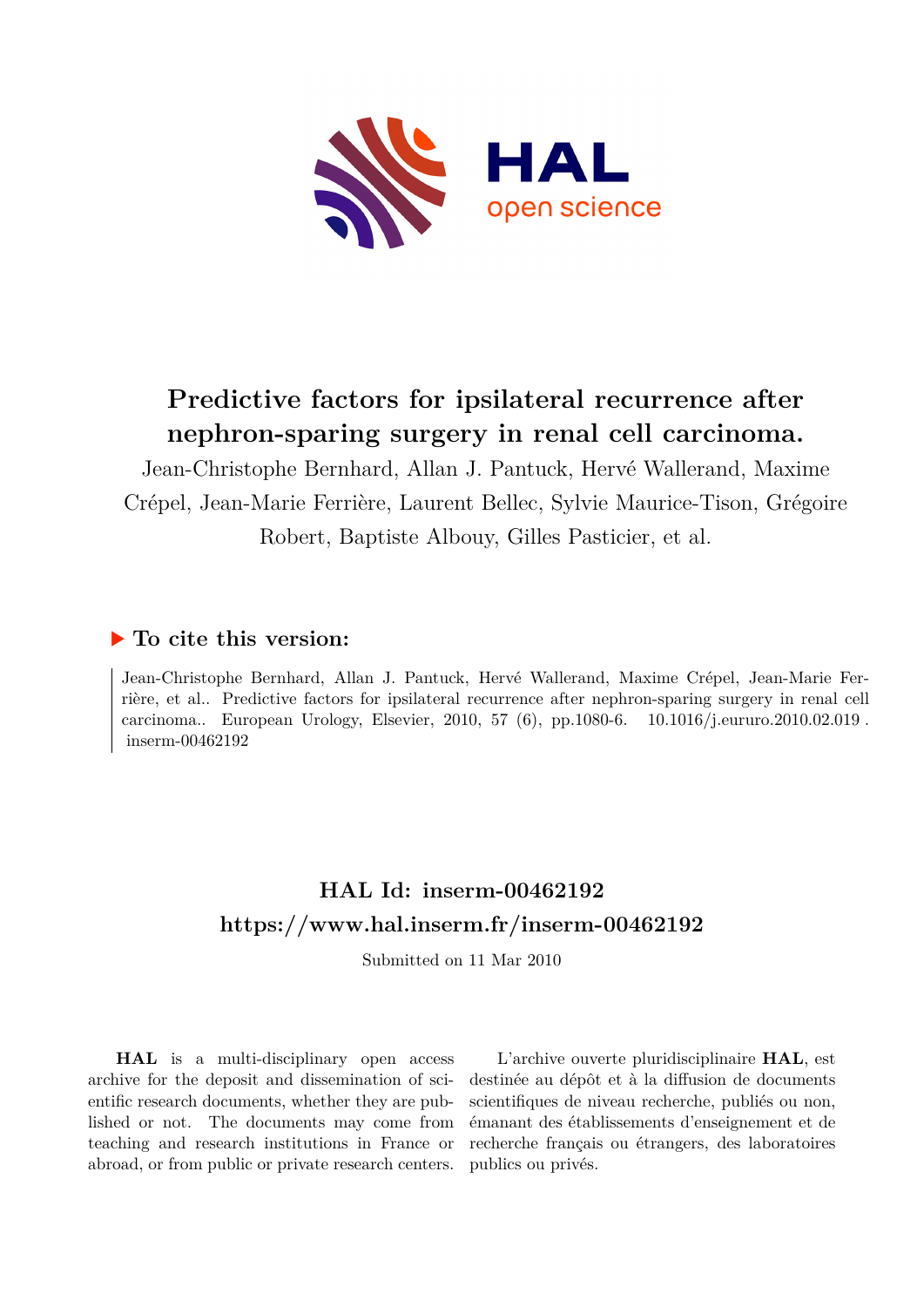

## **Predictive factors for ipsilateral recurrence after nephron-sparing surgery in renal cell carcinoma.**

Jean-Christophe Bernhard, Allan J. Pantuck, Hervé Wallerand, Maxime Crépel, Jean-Marie Ferrière, Laurent Bellec, Sylvie Maurice-Tison, Grégoire Robert, Baptiste Albouy, Gilles Pasticier, et al.

## **To cite this version:**

Jean-Christophe Bernhard, Allan J. Pantuck, Hervé Wallerand, Maxime Crépel, Jean-Marie Ferrière, et al.. Predictive factors for ipsilateral recurrence after nephron-sparing surgery in renal cell carcinoma.. European Urology, Elsevier, 2010, 57 (6), pp.1080-6. 10.1016/j.eururo.2010.02.019.  $inserm-00462192$ 

## **HAL Id: inserm-00462192 <https://www.hal.inserm.fr/inserm-00462192>**

Submitted on 11 Mar 2010

**HAL** is a multi-disciplinary open access archive for the deposit and dissemination of scientific research documents, whether they are published or not. The documents may come from teaching and research institutions in France or abroad, or from public or private research centers.

L'archive ouverte pluridisciplinaire **HAL**, est destinée au dépôt et à la diffusion de documents scientifiques de niveau recherche, publiés ou non, émanant des établissements d'enseignement et de recherche français ou étrangers, des laboratoires publics ou privés.